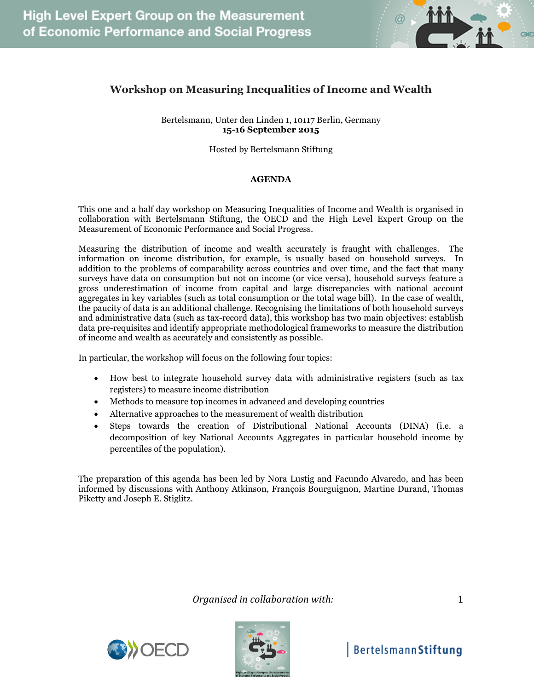

## **Workshop on Measuring Inequalities of Income and Wealth**

Bertelsmann, Unter den Linden 1, 10117 Berlin, Germany **15-16 September 2015**

Hosted by Bertelsmann Stiftung

## **AGENDA**

This one and a half day workshop on Measuring Inequalities of Income and Wealth is organised in collaboration with Bertelsmann Stiftung, the OECD and the High Level Expert Group on the Measurement of Economic Performance and Social Progress.

Measuring the distribution of income and wealth accurately is fraught with challenges. The information on income distribution, for example, is usually based on household surveys. In addition to the problems of comparability across countries and over time, and the fact that many surveys have data on consumption but not on income (or vice versa), household surveys feature a gross underestimation of income from capital and large discrepancies with national account aggregates in key variables (such as total consumption or the total wage bill). In the case of wealth, the paucity of data is an additional challenge. Recognising the limitations of both household surveys and administrative data (such as tax-record data), this workshop has two main objectives: establish data pre-requisites and identify appropriate methodological frameworks to measure the distribution of income and wealth as accurately and consistently as possible.

In particular, the workshop will focus on the following four topics:

- How best to integrate household survey data with administrative registers (such as tax registers) to measure income distribution
- Methods to measure top incomes in advanced and developing countries
- Alternative approaches to the measurement of wealth distribution
- Steps towards the creation of Distributional National Accounts (DINA) (i.e. a decomposition of key National Accounts Aggregates in particular household income by percentiles of the population).

The preparation of this agenda has been led by Nora Lustig and Facundo Alvaredo, and has been informed by discussions with Anthony Atkinson, François Bourguignon, Martine Durand, Thomas Piketty and Joseph E. Stiglitz.

*Organised in collaboration with:* 1



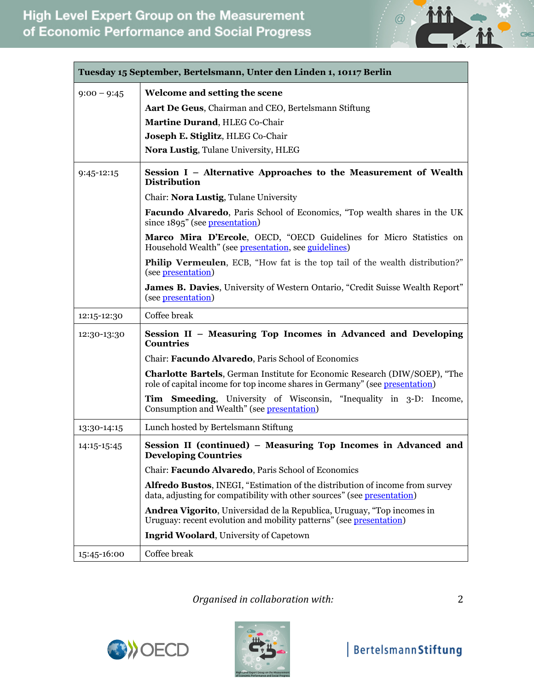

| Tuesday 15 September, Bertelsmann, Unter den Linden 1, 10117 Berlin |                                                                                                                                                                   |  |
|---------------------------------------------------------------------|-------------------------------------------------------------------------------------------------------------------------------------------------------------------|--|
| $9:00 - 9:45$                                                       | Welcome and setting the scene                                                                                                                                     |  |
|                                                                     | Aart De Geus, Chairman and CEO, Bertelsmann Stiftung                                                                                                              |  |
|                                                                     | Martine Durand, HLEG Co-Chair                                                                                                                                     |  |
|                                                                     | Joseph E. Stiglitz, HLEG Co-Chair                                                                                                                                 |  |
|                                                                     | Nora Lustig, Tulane University, HLEG                                                                                                                              |  |
| $9:45-12:15$                                                        | Session I – Alternative Approaches to the Measurement of Wealth<br><b>Distribution</b>                                                                            |  |
|                                                                     | Chair: Nora Lustig, Tulane University                                                                                                                             |  |
|                                                                     | Facundo Alvaredo, Paris School of Economics, "Top wealth shares in the UK<br>since 1895" (see presentation)                                                       |  |
|                                                                     | Marco Mira D'Ercole, OECD, "OECD Guidelines for Micro Statistics on<br>Household Wealth" (see presentation, see guidelines)                                       |  |
|                                                                     | <b>Philip Vermeulen, ECB, "How fat is the top tail of the wealth distribution?"</b><br>(see presentation)                                                         |  |
|                                                                     | James B. Davies, University of Western Ontario, "Credit Suisse Wealth Report"<br>(see presentation)                                                               |  |
| 12:15-12:30                                                         | Coffee break                                                                                                                                                      |  |
| 12:30-13:30                                                         | Session II - Measuring Top Incomes in Advanced and Developing<br><b>Countries</b>                                                                                 |  |
|                                                                     | Chair: Facundo Alvaredo, Paris School of Economics                                                                                                                |  |
|                                                                     | <b>Charlotte Bartels</b> , German Institute for Economic Research (DIW/SOEP), "The<br>role of capital income for top income shares in Germany" (see presentation) |  |
|                                                                     | Tim Smeeding, University of Wisconsin, "Inequality in 3-D: Income,<br>Consumption and Wealth" (see presentation)                                                  |  |
| 13:30-14:15                                                         | Lunch hosted by Bertelsmann Stiftung                                                                                                                              |  |
| 14:15-15:45                                                         | Session II (continued) - Measuring Top Incomes in Advanced and<br><b>Developing Countries</b>                                                                     |  |
|                                                                     | Chair: Facundo Alvaredo, Paris School of Economics                                                                                                                |  |
|                                                                     | Alfredo Bustos, INEGI, "Estimation of the distribution of income from survey<br>data, adjusting for compatibility with other sources" (see presentation)          |  |
|                                                                     | Andrea Vigorito, Universidad de la Republica, Uruguay, "Top incomes in<br>Uruguay: recent evolution and mobility patterns" (see presentation)                     |  |
|                                                                     | <b>Ingrid Woolard, University of Capetown</b>                                                                                                                     |  |
| 15:45-16:00                                                         | Coffee break                                                                                                                                                      |  |

*Organised in collaboration with:* 2



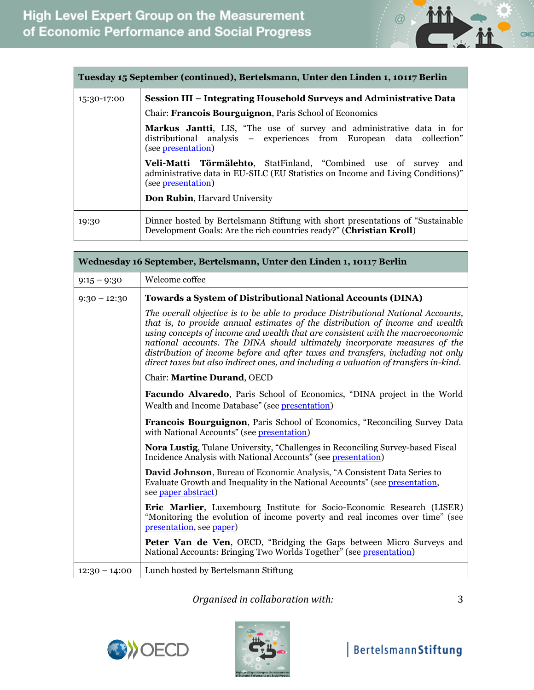

| Tuesday 15 September (continued), Bertelsmann, Unter den Linden 1, 10117 Berlin |                                                                                                                                                                                                                     |  |
|---------------------------------------------------------------------------------|---------------------------------------------------------------------------------------------------------------------------------------------------------------------------------------------------------------------|--|
| 15:30-17:00                                                                     | Session III – Integrating Household Surveys and Administrative Data                                                                                                                                                 |  |
|                                                                                 | Chair: Francois Bourguignon, Paris School of Economics                                                                                                                                                              |  |
|                                                                                 | Markus Jantti, LIS, "The use of survey and administrative data in for<br>distributional analysis - experiences from European data collection"<br>(see presentation)                                                 |  |
|                                                                                 | Veli-Matti Törmälehto, StatFinland, "Combined use of survey<br>and<br>administrative data in EU-SILC (EU Statistics on Income and Living Conditions)"<br>(see presentation)<br><b>Don Rubin, Harvard University</b> |  |
| 19:30                                                                           | Dinner hosted by Bertelsmann Stiftung with short presentations of "Sustainable"<br>Development Goals: Are the rich countries ready?" (Christian Kroll)                                                              |  |

| Wednesday 16 September, Bertelsmann, Unter den Linden 1, 10117 Berlin |                                                                                                                                                                                                                                                                                                                                                                                                                                                                                                             |  |
|-----------------------------------------------------------------------|-------------------------------------------------------------------------------------------------------------------------------------------------------------------------------------------------------------------------------------------------------------------------------------------------------------------------------------------------------------------------------------------------------------------------------------------------------------------------------------------------------------|--|
| $9:15 - 9:30$                                                         | Welcome coffee                                                                                                                                                                                                                                                                                                                                                                                                                                                                                              |  |
| $9:30 - 12:30$                                                        | <b>Towards a System of Distributional National Accounts (DINA)</b>                                                                                                                                                                                                                                                                                                                                                                                                                                          |  |
|                                                                       | The overall objective is to be able to produce Distributional National Accounts,<br>that is, to provide annual estimates of the distribution of income and wealth<br>using concepts of income and wealth that are consistent with the macroeconomic<br>national accounts. The DINA should ultimately incorporate measures of the<br>distribution of income before and after taxes and transfers, including not only<br>direct taxes but also indirect ones, and including a valuation of transfers in-kind. |  |
|                                                                       | Chair: Martine Durand, OECD                                                                                                                                                                                                                                                                                                                                                                                                                                                                                 |  |
|                                                                       | <b>Facundo Alvaredo</b> , Paris School of Economics, "DINA project in the World<br>Wealth and Income Database" (see presentation)                                                                                                                                                                                                                                                                                                                                                                           |  |
|                                                                       | <b>Francois Bourguignon</b> , Paris School of Economics, "Reconciling Survey Data<br>with National Accounts" (see presentation)                                                                                                                                                                                                                                                                                                                                                                             |  |
|                                                                       | Nora Lustig, Tulane University, "Challenges in Reconciling Survey-based Fiscal<br>Incidence Analysis with National Accounts" (see presentation)                                                                                                                                                                                                                                                                                                                                                             |  |
|                                                                       | David Johnson, Bureau of Economic Analysis, "A Consistent Data Series to<br>Evaluate Growth and Inequality in the National Accounts" (see presentation,<br>see paper abstract)                                                                                                                                                                                                                                                                                                                              |  |
|                                                                       | Eric Marlier, Luxembourg Institute for Socio-Economic Research (LISER)<br>"Monitoring the evolution of income poverty and real incomes over time" (see<br>presentation, see paper)                                                                                                                                                                                                                                                                                                                          |  |
|                                                                       | Peter Van de Ven, OECD, "Bridging the Gaps between Micro Surveys and<br>National Accounts: Bringing Two Worlds Together" (see presentation)                                                                                                                                                                                                                                                                                                                                                                 |  |
| $12:30 - 14:00$                                                       | Lunch hosted by Bertelsmann Stiftung                                                                                                                                                                                                                                                                                                                                                                                                                                                                        |  |

*Organised in collaboration with:* 3

**OB**